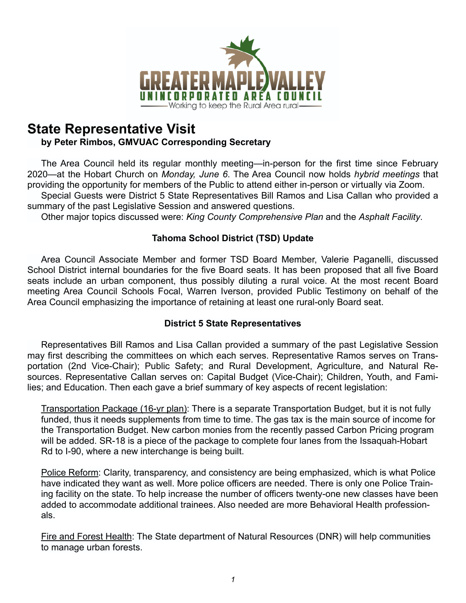

# **State Representative Visit**

# **by Peter Rimbos, GMVUAC Corresponding Secretary**

 The Area Council held its regular monthly meeting—in-person for the first time since February 2020—at the Hobart Church on *Monday, June 6*. The Area Council now holds *hybrid meetings* that providing the opportunity for members of the Public to attend either in-person or virtually via Zoom.

 Special Guests were District 5 State Representatives Bill Ramos and Lisa Callan who provided a summary of the past Legislative Session and answered questions.

Other major topics discussed were: *King County Comprehensive Plan* and the *Asphalt Facility*.

# **Tahoma School District (TSD) Update**

 Area Council Associate Member and former TSD Board Member, Valerie Paganelli, discussed School District internal boundaries for the five Board seats. It has been proposed that all five Board seats include an urban component, thus possibly diluting a rural voice. At the most recent Board meeting Area Council Schools Focal, Warren Iverson, provided Public Testimony on behalf of the Area Council emphasizing the importance of retaining at least one rural-only Board seat.

# **District 5 State Representatives**

 Representatives Bill Ramos and Lisa Callan provided a summary of the past Legislative Session may first describing the committees on which each serves. Representative Ramos serves on Transportation (2nd Vice-Chair); Public Safety; and Rural Development, Agriculture, and Natural Resources. Representative Callan serves on: Capital Budget (Vice-Chair); Children, Youth, and Families; and Education. Then each gave a brief summary of key aspects of recent legislation:

Transportation Package (16-yr plan): There is a separate Transportation Budget, but it is not fully funded, thus it needs supplements from time to time. The gas tax is the main source of income for the Transportation Budget. New carbon monies from the recently passed Carbon Pricing program will be added. SR-18 is a piece of the package to complete four lanes from the Issaquah-Hobart Rd to I-90, where a new interchange is being built.

Police Reform: Clarity, transparency, and consistency are being emphasized, which is what Police have indicated they want as well. More police officers are needed. There is only one Police Training facility on the state. To help increase the number of officers twenty-one new classes have been added to accommodate additional trainees. Also needed are more Behavioral Health professionals.

Fire and Forest Health: The State department of Natural Resources (DNR) will help communities to manage urban forests.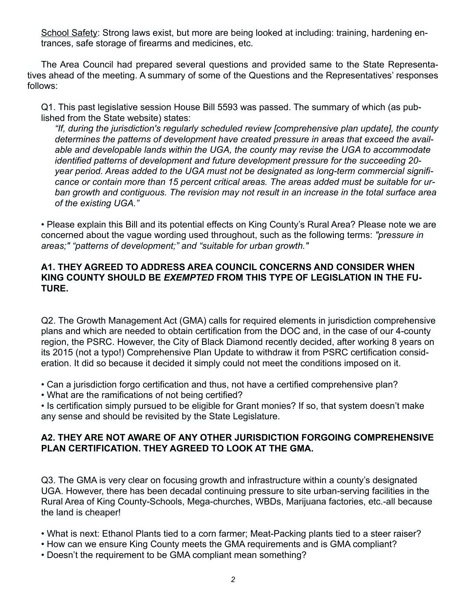School Safety: Strong laws exist, but more are being looked at including: training, hardening entrances, safe storage of firearms and medicines, etc.

 The Area Council had prepared several questions and provided same to the State Representatives ahead of the meeting. A summary of some of the Questions and the Representatives' responses follows:

Q1. This past legislative session House Bill 5593 was passed. The summary of which (as published from the State website) states:

*"If, during the jurisdiction's regularly scheduled review [comprehensive plan update], the county determines the patterns of development have created pressure in areas that exceed the available and developable lands within the UGA, the county may revise the UGA to accommodate identified patterns of development and future development pressure for the succeeding 20 year period. Areas added to the UGA must not be designated as long-term commercial significance or contain more than 15 percent critical areas. The areas added must be suitable for urban growth and contiguous. The revision may not result in an increase in the total surface area of the existing UGA."* 

• Please explain this Bill and its potential effects on King County's Rural Area? Please note we are concerned about the vague wording used throughout, such as the following terms: *"pressure in areas;" "patterns of development;" and "suitable for urban growth."*

## **A1. THEY AGREED TO ADDRESS AREA COUNCIL CONCERNS AND CONSIDER WHEN KING COUNTY SHOULD BE** *EXEMPTED* **FROM THIS TYPE OF LEGISLATION IN THE FU-TURE.**

Q2. The Growth Management Act (GMA) calls for required elements in jurisdiction comprehensive plans and which are needed to obtain certification from the DOC and, in the case of our 4-county region, the PSRC. However, the City of Black Diamond recently decided, after working 8 years on its 2015 (not a typo!) Comprehensive Plan Update to withdraw it from PSRC certification consideration. It did so because it decided it simply could not meet the conditions imposed on it.

• Can a jurisdiction forgo certification and thus, not have a certified comprehensive plan?

• What are the ramifications of not being certified?

• Is certification simply pursued to be eligible for Grant monies? If so, that system doesn't make any sense and should be revisited by the State Legislature.

# **A2. THEY ARE NOT AWARE OF ANY OTHER JURISDICTION FORGOING COMPREHENSIVE PLAN CERTIFICATION. THEY AGREED TO LOOK AT THE GMA.**

Q3. The GMA is very clear on focusing growth and infrastructure within a county's designated UGA. However, there has been decadal continuing pressure to site urban-serving facilities in the Rural Area of King County-Schools, Mega-churches, WBDs, Marijuana factories, etc.-all because the land is cheaper!

• What is next: Ethanol Plants tied to a corn farmer; Meat-Packing plants tied to a steer raiser?

- How can we ensure King County meets the GMA requirements and is GMA compliant?
- Doesn't the requirement to be GMA compliant mean something?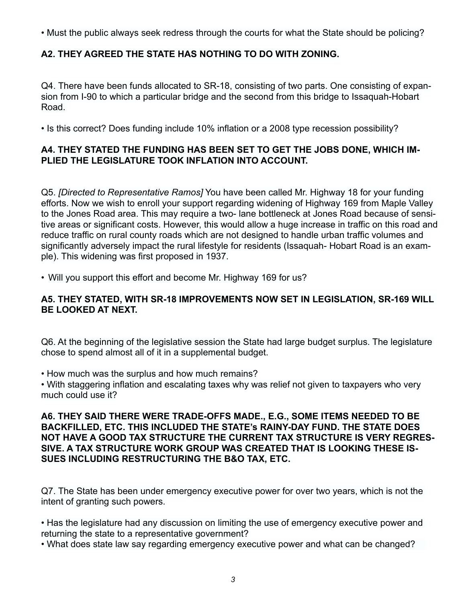• Must the public always seek redress through the courts for what the State should be policing?

# **A2. THEY AGREED THE STATE HAS NOTHING TO DO WITH ZONING.**

Q4. There have been funds allocated to SR-18, consisting of two parts. One consisting of expansion from I-90 to which a particular bridge and the second from this bridge to Issaquah-Hobart Road.

• Is this correct? Does funding include 10% inflation or a 2008 type recession possibility?

## **A4. THEY STATED THE FUNDING HAS BEEN SET TO GET THE JOBS DONE, WHICH IM-PLIED THE LEGISLATURE TOOK INFLATION INTO ACCOUNT.**

Q5. *[Directed to Representative Ramos]* You have been called Mr. Highway 18 for your funding efforts. Now we wish to enroll your support regarding widening of Highway 169 from Maple Valley to the Jones Road area. This may require a two- lane bottleneck at Jones Road because of sensitive areas or significant costs. However, this would allow a huge increase in traffic on this road and reduce traffic on rural county roads which are not designed to handle urban traffic volumes and significantly adversely impact the rural lifestyle for residents (Issaquah- Hobart Road is an example). This widening was first proposed in 1937.

• Will you support this effort and become Mr. Highway 169 for us?

## **A5. THEY STATED, WITH SR-18 IMPROVEMENTS NOW SET IN LEGISLATION, SR-169 WILL BE LOOKED AT NEXT.**

Q6. At the beginning of the legislative session the State had large budget surplus. The legislature chose to spend almost all of it in a supplemental budget.

• How much was the surplus and how much remains?

• With staggering inflation and escalating taxes why was relief not given to taxpayers who very much could use it?

## **A6. THEY SAID THERE WERE TRADE-OFFS MADE., E.G., SOME ITEMS NEEDED TO BE BACKFILLED, ETC. THIS INCLUDED THE STATE's RAINY-DAY FUND. THE STATE DOES NOT HAVE A GOOD TAX STRUCTURE THE CURRENT TAX STRUCTURE IS VERY REGRES-SIVE. A TAX STRUCTURE WORK GROUP WAS CREATED THAT IS LOOKING THESE IS-SUES INCLUDING RESTRUCTURING THE B&O TAX, ETC.**

Q7. The State has been under emergency executive power for over two years, which is not the intent of granting such powers.

• Has the legislature had any discussion on limiting the use of emergency executive power and returning the state to a representative government?

• What does state law say regarding emergency executive power and what can be changed?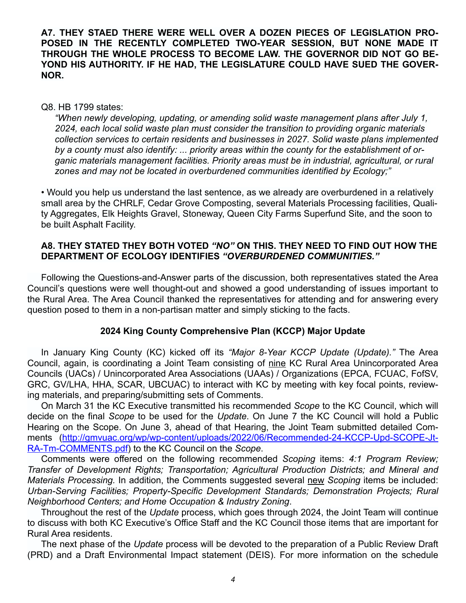### **A7. THEY STAED THERE WERE WELL OVER A DOZEN PIECES OF LEGISLATION PRO-POSED IN THE RECENTLY COMPLETED TWO-YEAR SESSION, BUT NONE MADE IT THROUGH THE WHOLE PROCESS TO BECOME LAW. THE GOVERNOR DID NOT GO BE-YOND HIS AUTHORITY. IF HE HAD, THE LEGISLATURE COULD HAVE SUED THE GOVER-NOR.**

#### Q8. HB 1799 states:

*"When newly developing, updating, or amending solid waste management plans after July 1, 2024, each local solid waste plan must consider the transition to providing organic materials collection services to certain residents and businesses in 2027. Solid waste plans implemented by a county must also identify: ... priority areas within the county for the establishment of organic materials management facilities. Priority areas must be in industrial, agricultural, or rural zones and may not be located in overburdened communities identified by Ecology;"* 

• Would you help us understand the last sentence, as we already are overburdened in a relatively small area by the CHRLF, Cedar Grove Composting, several Materials Processing facilities, Quality Aggregates, Elk Heights Gravel, Stoneway, Queen City Farms Superfund Site, and the soon to be built Asphalt Facility.

### **A8. THEY STATED THEY BOTH VOTED** *"NO"* **ON THIS. THEY NEED TO FIND OUT HOW THE DEPARTMENT OF ECOLOGY IDENTIFIES** *"OVERBURDENED COMMUNITIES."*

 Following the Questions-and-Answer parts of the discussion, both representatives stated the Area Council's questions were well thought-out and showed a good understanding of issues important to the Rural Area. The Area Council thanked the representatives for attending and for answering every question posed to them in a non-partisan matter and simply sticking to the facts.

#### **2024 King County Comprehensive Plan (KCCP) Major Update**

 In January King County (KC) kicked off its *"Major 8-Year KCCP Update (Update)."* The Area Council, again, is coordinating a Joint Team consisting of nine KC Rural Area Unincorporated Area Councils (UACs) / Unincorporated Area Associations (UAAs) / Organizations (EPCA, FCUAC, FofSV, GRC, GV/LHA, HHA, SCAR, UBCUAC) to interact with KC by meeting with key focal points, reviewing materials, and preparing/submitting sets of Comments.

 On March 31 the KC Executive transmitted his recommended *Scope* to the KC Council, which will decide on the final *Scope* to be used for the *Update*. On June 7 the KC Council will hold a Public Hearing on the Scope. On June 3, ahead of that Hearing, the Joint Team submitted detailed Com[ments \(http://gmvuac.org/wp/wp-content/uploads/2022/06/Recommended-24-KCCP-Upd-SCOPE-Jt-](http://gmvuac.org/wp/wp-content/uploads/2022/06/Recommended-24-KCCP-Upd-SCOPE-Jt-RA-Tm-COMMENTS.pdf)[RA-Tm-COMMENTS.pdf](http://gmvuac.org/wp/wp-content/uploads/2022/06/Recommended-24-KCCP-Upd-SCOPE-Jt-RA-Tm-COMMENTS.pdf)) to the KC Council on the *Scope*.

 Comments were offered on the following recommended *Scoping* items: *4:1 Program Review; Transfer of Development Rights; Transportation; Agricultural Production Districts; and Mineral and Materials Processing.* In addition, the Comments suggested several new *Scoping* items be included: *Urban-Serving Facilities; Property-Specific Development Standards; Demonstration Projects; Rural Neighborhood Centers; and Home Occupation & Industry Zoning*.

 Throughout the rest of the *Update* process, which goes through 2024, the Joint Team will continue to discuss with both KC Executive's Office Staff and the KC Council those items that are important for Rural Area residents.

 The next phase of the *Update* process will be devoted to the preparation of a Public Review Draft (PRD) and a Draft Environmental Impact statement (DEIS). For more information on the schedule